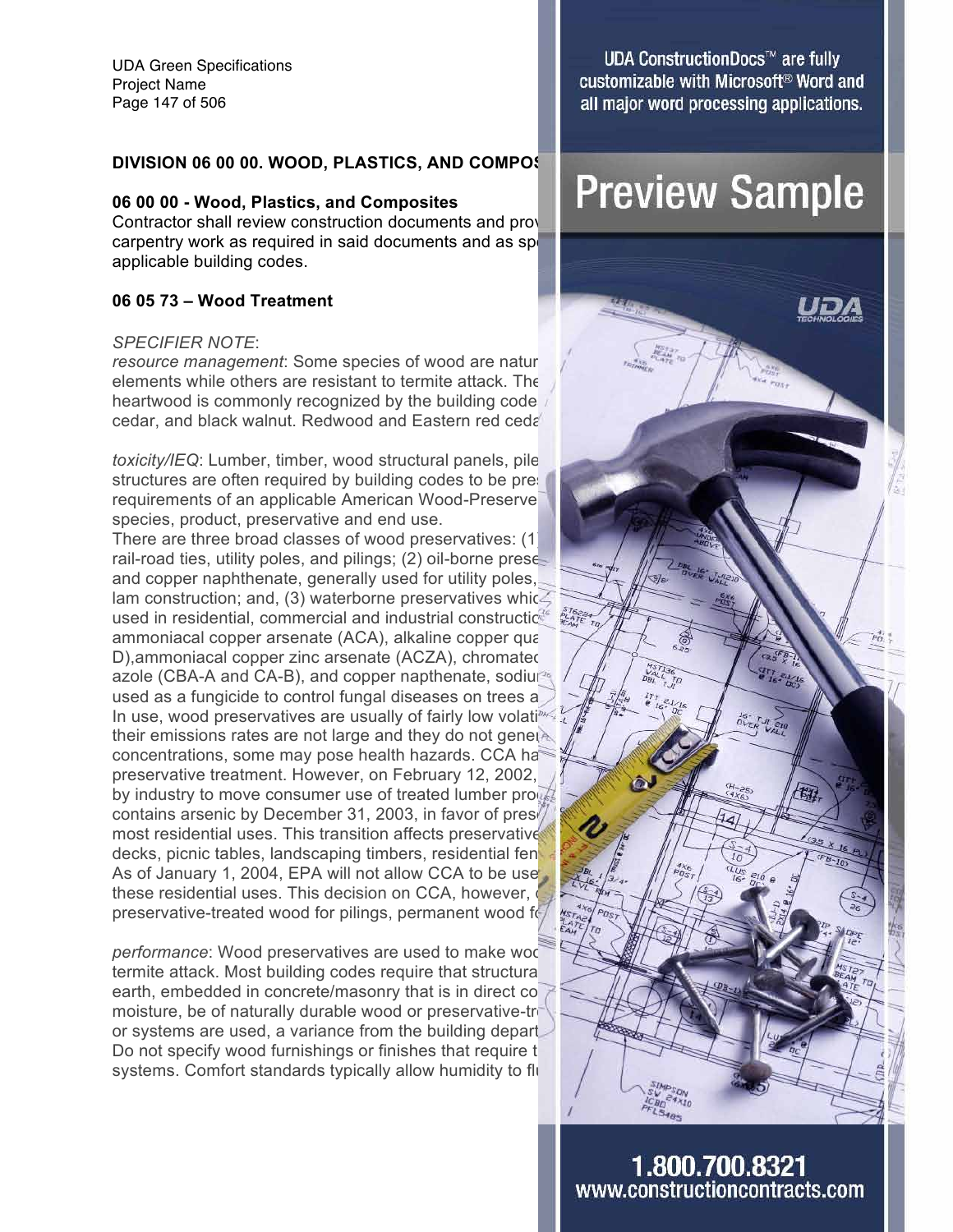UDA Green Specifications Project Name Page 147 of 506

#### **06 00 00 - Wood, Plastics, and Composites**

Contractor shall review construction documents and provide labor and materials pertaining to carpentry work as required in said documents and as specified herein, while carpentry applicable building codes.

#### **06 05 73 – Wood Treatment**

#### *SPECIFIER NOTE*:

*resource management*: Some species of wood are naturally elements while others are resistant to termite attack. The heartwood is commonly recognized by the building codes cedar, and black walnut. Redwood and Eastern red cedar

*toxicity/IEQ*: Lumber, timber, wood structural panels, pile structures are often required by building codes to be present requirements of an applicable American Wood-Preserve species, product, preservative and end use.

There are three broad classes of wood preservatives: (1) rail-road ties, utility poles, and pilings; (2) oil-borne prese and copper naphthenate, generally used for utility poles, lam construction; and, (3) waterborne preservatives which are the most construction are the most commercial and industrial construction used in residential, commercial and industrial constructic. ammoniacal copper arsenate (ACA), alkaline copper quaternary and ACA D),ammoniacal copper zinc arsenate (ACZA), chromated copper control of the state of the state of the state of the state of the state of the state of the state of the state of the state of the state of the state of the sta azole (CBA-A and CA-B), and copper napthenate, sodium used as a fungicide to control fungal diseases on trees a In use, wood preservatives are usually of fairly low volation  $\frac{1}{2}$  for the  $\frac{1}{2}$  fixed  $\frac{1}{2}$ their emissions rates are not large and they do not general concentrations, some may pose health hazards. CCA has preservative treatment. However, on February 12, 2002, by industry to move consumer use of treated lumber products and the products of  $\sqrt{2}$ contains arsenic by December 31, 2003, in favor of prese most residential uses. This transition affects preservative decks, picnic tables, landscaping timbers, residential fen As of January 1, 2004, EPA will not allow CCA to be use these residential uses. This decision on CCA, however, preservative-treated wood for pilings, permanent wood foundations and similar applications are similar applications.

*performance*: Wood preservatives are used to make wood termite attack. Most building codes require that structural earth, embedded in concrete/masonry that is in direct co moisture, be of naturally durable wood or preservative-treated wood. or systems are used, a variance from the building depart. Do not specify wood furnishings or finishes that require t systems. Comfort standards typically allow humidity to flu

**UDA ConstructionDocs™ are fully** customizable with Microsoft<sup>®</sup> Word and all major word processing applications.

# DIVISION 06 00 00. WOOD, PLASTICS, AND COMPOS **PLASTICS, AND COMPOS**

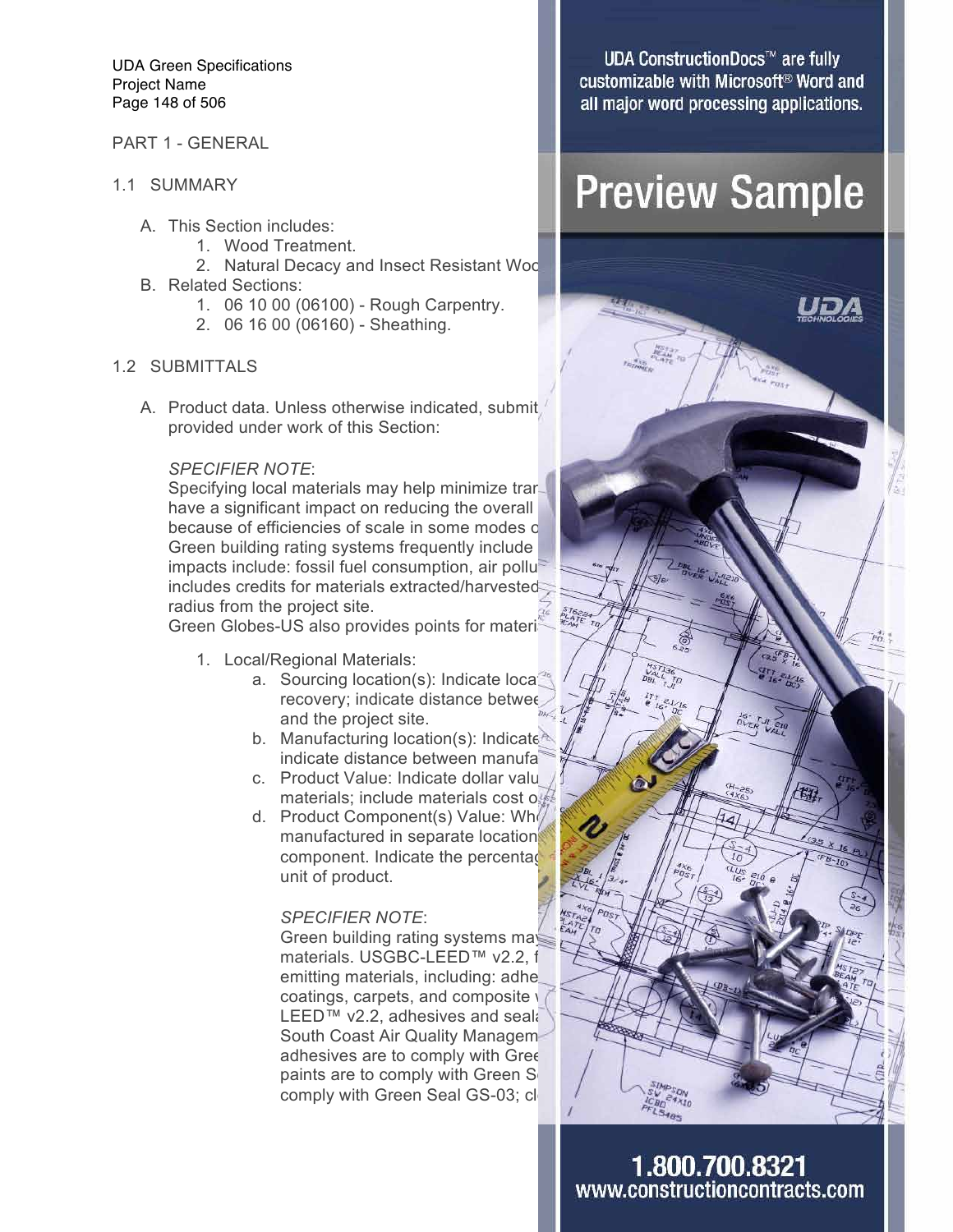UDA Green Specifications Project Name Page 148 of 506

#### PART 1 - GENERAL

- 1.1 SUMMARY
	- A. This Section includes:
		- 1. Wood Treatment.
		- 2. Natural Decacy and Insect Resistant Woo
	- B. Related Sections:
		- 1. 06 10 00 (06100) Rough Carpentry.
		- 2. 06 16 00 (06160) Sheathing.

#### 1.2 SUBMITTALS

A. Product data. Unless otherwise indicated, submit provided under work of this Section:

#### *SPECIFIER NOTE*:

Specifying local materials may help minimize trans have a significant impact on reducing the overall because of efficiencies of scale in some modes of Green building rating systems frequently include impacts include: fossil fuel consumption, air pollu<sup>t</sup> includes credits for materials extracted/harvested radius from the project site.

Green Globes-US also provides points for materials that are locally materials that are locally materials that a

- 1. Local/Regional Materials:
	- and the project site.
	- b. Manufacturing location(s): Indicate indicate distance between manufa
	- c. Product Value: Indicate dollar value  $\int$  product containing local product containing local product containing local product containing local product containing local product containing the product containing local pro materials; include materials cost on
	- d. Product Component(s) Value: Who manufactured in separate location component. Indicate the percentage unit of product.

#### *SPECIFIER NOTE*:

Green building rating systems ma materials. USGBC-LEED™ v2.2, f emitting materials, including: adhesive coatings, carpets, and composite  $\sqrt{ }$ LEED™ v2.2, adhesives and sealants are to  $V^{\text{max}}$ South Coast Air Quality Managemadhesives are to comply with Gree paints are to comply with Green Seal comply with Green Seal GS-03; cle

**UDA ConstructionDocs™ are fully** customizable with Microsoft<sup>®</sup> Word and all major word processing applications.

## **Preview Sample**

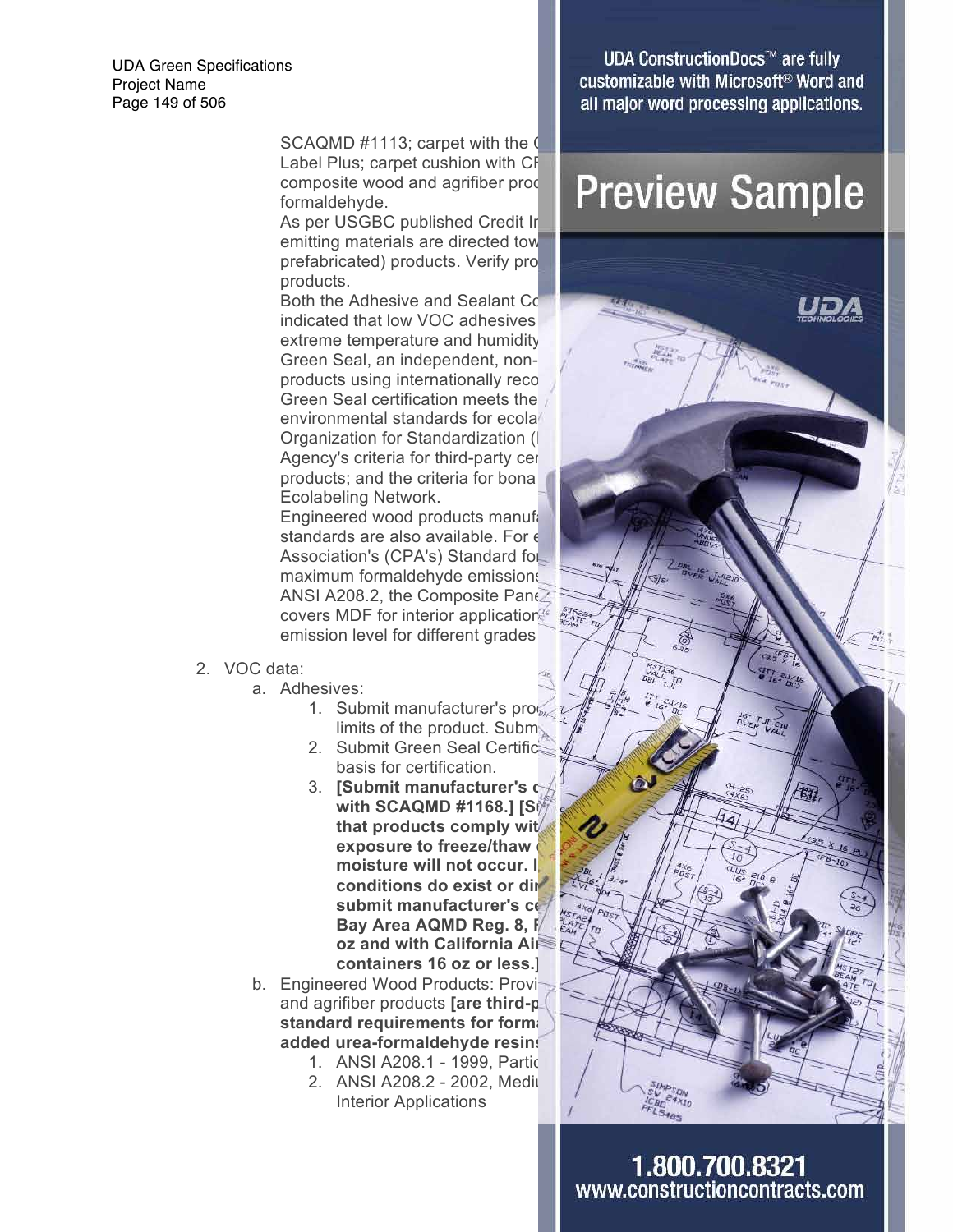UDA Green Specifications Project Name Page 149 of 506

> SCAQMD  $#1113$ ; carpet with the  $\mathbb Q$ Label Plus; carpet cushion with CF formaldehyde.

> As per USGBC published Credit In emitting materials are directed tow prefabricated) products. Verify pro products.

indicated that low VOC adhesives extreme temperature and humidity Green Seal, an independent, nonproducts using internationally reco Green Seal certification meets the environmental standards for ecola Organization for Standardization (I Agency's criteria for third-party certifiers products; and the criteria for bona Ecolabeling Network.

Engineered wood products manufactured in accordance with Angles in an accordance with ANSIS manufactured in an standards are also available. For  $\epsilon$ Association's (CPA's) Standard for maximum formaldehyde emissions ANSI A208.2, the Composite Panel covers MDF for interior applications that emission level for different grades

- 2. VOC data:
	- a. Adhesives:
		- 1. Submit manufacturer's pro $\frac{1}{4}$  for a  $\frac{1}{4}$  for an additional for a submit of the product Subm limits of the product. Subm
		- 2. Submit Green Seal Certification basis for certification.
		- **with SCAQMD #1168.1 [Side manufacturers** that products comply wit exposure to freeze/thaw moisture will not occur. I conditions do exist or dir **submit manufacturer's certification**<br>Bay Area AQMD Reg. 8, F **Bay Area AQMD Reg. 8, R oz and with California Air containers 16 oz or less.]**
	- b. Engineered Wood Products: Provi and agrifiber products **[are third-party** standard requirements for formal **added urea-formaldehyde resins.]**
		- 1. ANSI A208.1 1999, Partic
		- 2. ANSI A208.2 2002, Mediu Interior Applications

**UDA ConstructionDocs™ are fully** customizable with Microsoft<sup>®</sup> Word and all major word processing applications.

## composite wood and agrifiber production and agrific and agrifiber production and  $\mathsf{Prewiew\ Samuel\mathsf{Sample}}$

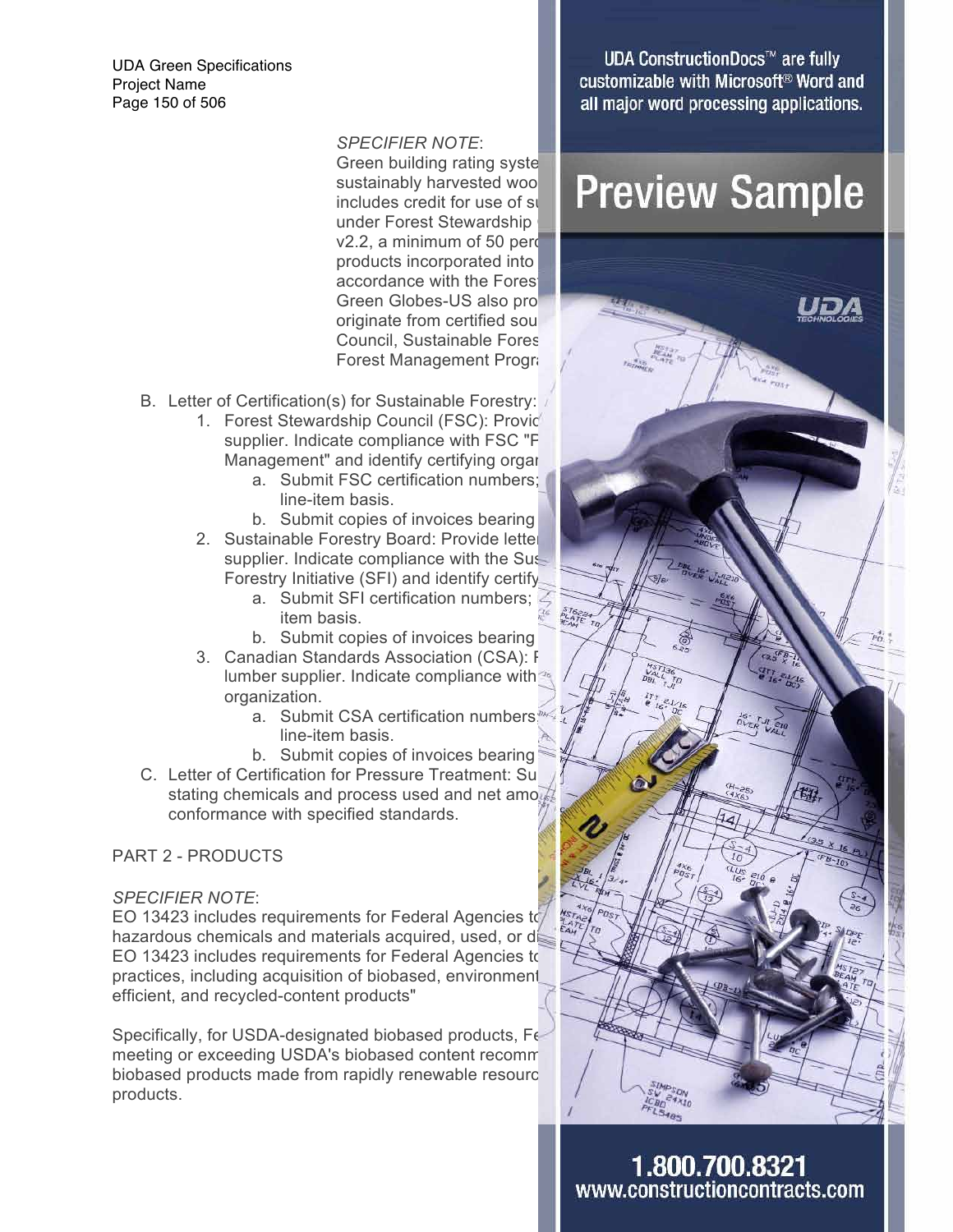UDA Green Specifications Project Name Page 150 of 506

*SPECIFIER NOTE*:

Green building rating syste under Forest Stewardship  $v2.2$ , a minimum of 50 percent of  $v2.2$ products incorporated into accordance with the Forest originate from certified sou Council, Sustainable Fores Forest Management Progra

- B. Letter of Certification(s) for Sustainable Forestry:
	- 1. Forest Stewardship Council (FSC): Providential supplier. Indicate compliance with FSC "F Management" and identify certifying organ
		- a. Submit FSC certification numbers; line-item basis.
		- b. Submit copies of invoices bearing
	- 2. Sustainable Forestry Board: Provide letter supplier. Indicate compliance with the Sustainable Forestry Initiative (SFI) and identify certify
		- a. Submit SFI certification numbers;  $\mathbb{Z}$  is the product on a lineitem basis.
		- b. Submit copies of invoices bearing
	- 3. Canadian Standards Association (CSA): From the compliance with  $\frac{1}{2}$   $\frac{1}{2}$   $\frac{1}{2}$   $\frac{1}{2}$   $\frac{1}{2}$   $\frac{1}{2}$   $\frac{1}{2}$   $\frac{1}{2}$   $\frac{1}{2}$   $\frac{1}{2}$   $\frac{1}{2}$   $\frac{1}{2}$   $\frac{1}{2}$   $\frac{1}{2}$   $\frac{1}{2}$   $\frac{1$ lumber supplier. Indicate compliance with organization.
		- a. Submit CSA certification numbers;  $\iint_{\mathbb{R}}$   $\int_{\mathbb{R}}$   $\int_{\mathbb{R}}$   $\int_{\mathbb{R}}$   $\int_{\mathbb{R}}$   $\int_{\mathbb{R}}$   $\int_{\mathbb{R}}$ line-item basis.
		- b. Submit copies of invoices bearing
- C. Letter of Certification for Pressure Treatment: Sub stating chemicals and process used and net amount of preservatives and the preservatives are in the preservative conformance with specified standards.

### PART 2 - PRODUCTS

#### *SPECIFIER NOTE*:

EO 13423 includes requirements for Federal Agencies to hazardous chemicals and materials acquired, used, or disposed EO 13423 includes requirements for Federal Agencies to practices, including acquisition of biobased, environment efficient, and recycled-content products"

Specifically, for USDA-designated biobased products, Fe meeting or exceeding USDA's biobased content recommendent biobased products made from rapidly renewable resourc products.

**UDA ConstructionDocs™ are fully** customizable with Microsoft<sup>®</sup> Word and all major word processing applications.

### sustainably harvested wooder Drown cut Comm includes credit for use of sustainably **discript word in the certified word certified word certified word certified word certified word certified word certified word certified word certified word certified word certified**

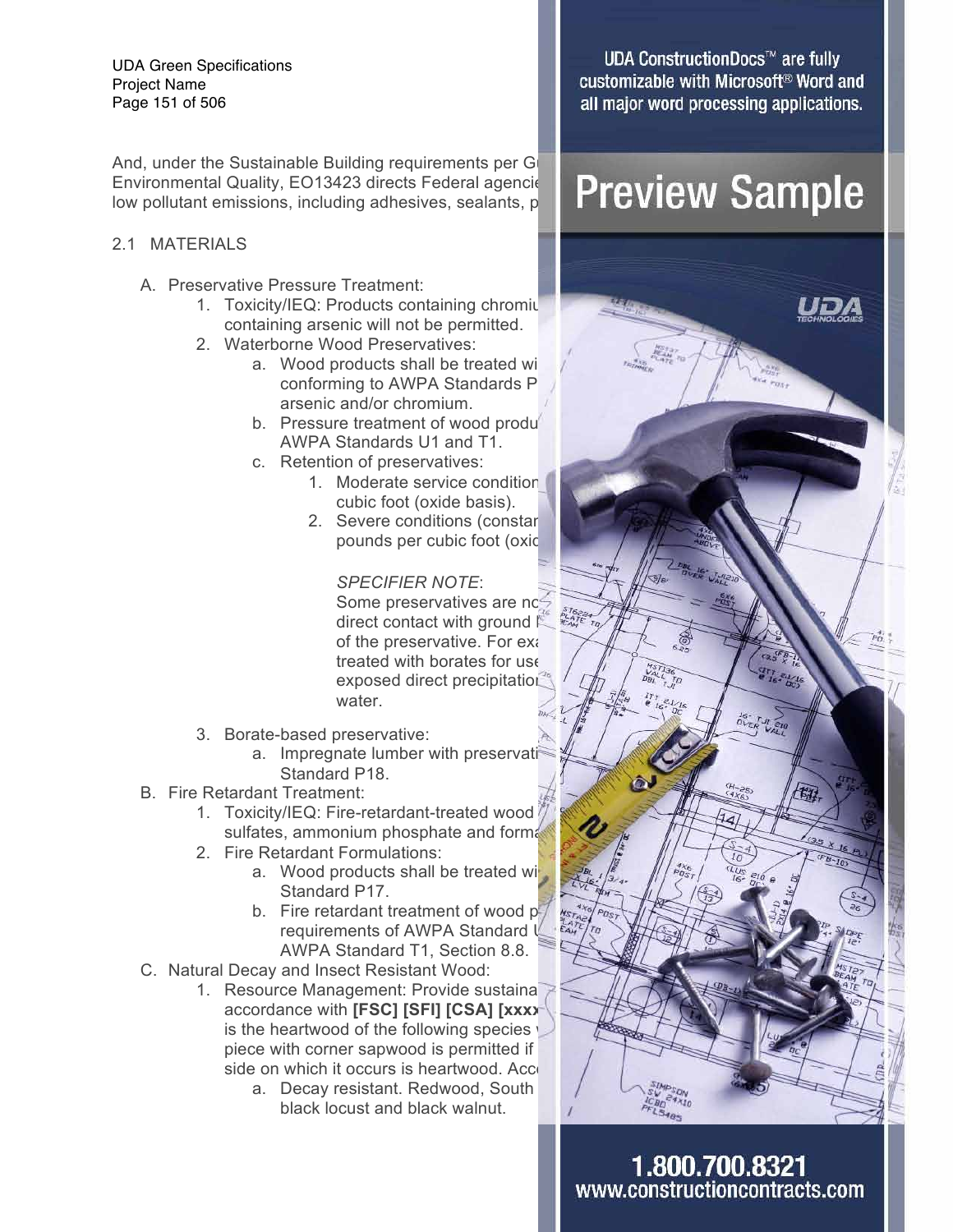UDA Green Specifications Project Name Page 151 of 506

And, under the Sustainable Building requirements per G Environmental Quality, EO13423 directs Federal agencie Preview Sample low pollutant emissions, including adhesives, sealants, p

#### 2.1 MATERIALS

- A. Preservative Pressure Treatment:
	- 1. Toxicity/IEQ: Products containing chromit containing arsenic will not be permitted.
	- 2. Waterborne Wood Preservatives:
		- a. Wood products shall be treated with conforming to AWPA Standards P arsenic and/or chromium.
		- b. Pressure treatment of wood produ AWPA Standards U1 and T1.
		- c. Retention of preservatives:
			- 1. Moderate service condition cubic foot (oxide basis).
			- 2. Severe conditions (constar pounds per cubic foot (oxide

*SPECIFIER NOTE*: Some preservatives are not reflect contact with ground direct contact with ground  $\mathbb K$ of the preservative. For example exposed direct precipitation water.

- 3. Borate-based preservative:
	- a. Impregnate lumber with preservati Standard P18.
- B. Fire Retardant Treatment:
	- 1. Toxicity/IEQ: Fire-retardant-treated wood sulfates, ammonium phosphate and formal
	- 2. Fire Retardant Formulations:
		- a. Wood products shall be treated with Standard P17.
		- b. Fire retardant treatment of wood  $p_1$ requirements of AWPA Standard I AWPA Standard T1, Section 8.8.
- C. Natural Decay and Insect Resistant Wood:
	- 1. Resource Management: Provide sustaina accordance with **[FSC] [SFI] [CSA] [xxxx** is the heartwood of the following species  $\sqrt{ }$ piece with corner sapwood is permitted if side on which it occurs is heartwood. Acce
		- a. Decay resistant. Redwood, South black locust and black walnut.

**UDA ConstructionDocs™ are fully** customizable with Microsoft<sup>®</sup> Word and all major word processing applications.

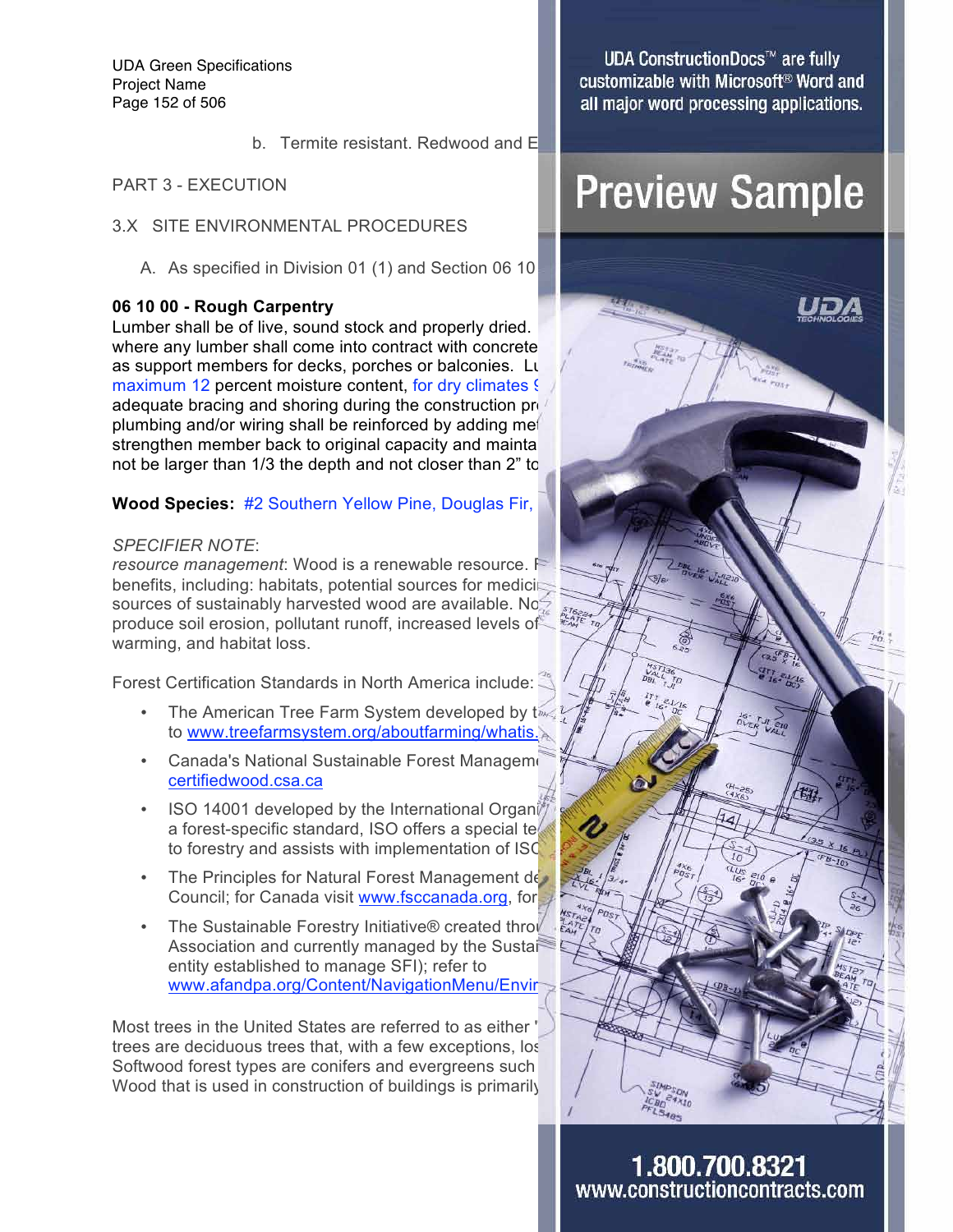UDA Green Specifications Project Name Page 152 of 506

b. Termite resistant. Redwood and  $E$ 

PART 3 - EXECUTION

- 3.X SITE ENVIRONMENTAL PROCEDURES
	- A. As specified in Division 01 (1) and Section 06 10

#### **06 10 00 - Rough Carpentry**

Lumber shall be of live, sound stock and properly dried. where any lumber shall come into contract with concrete as support members for decks, porches or balconies. Lu maximum 12 percent moisture content, for dry climates § adequate bracing and shoring during the construction proplumbing and/or wiring shall be reinforced by adding met strengthen member back to original capacity and maintal not be larger than 1/3 the depth and not closer than 2" to

#### **Wood Species: #2 Southern Yellow Pine, Douglas Fir,**

#### *SPECIFIER NOTE*:

*resource management*: Wood is a renewable resource. F benefits, including: habitats, potential sources for medicing sources of sustainably harvested wood are available. Nonproduce soil erosion, pollutant runoff, increased levels of warming, and habitat loss.

Forest Certification Standards in North America include:

- The American Tree Farm System developed by  $t_{\text{max}}$   $\frac{1}{\sqrt{2}}$   $\frac{1}{\sqrt{2}}$   $\frac{1}{\sqrt{2}}$   $\frac{1}{\sqrt{2}}$   $\frac{1}{\sqrt{2}}$ to www.treefarmsystem.org/aboutfarming/whatis.
- Canada's National Sustainable Forest Management certifiedwood.csa.ca
- ISO 14001 developed by the International Organization a forest-specific standard, ISO offers a special te to forestry and assists with implementation of ISC
- The Principles for Natural Forest Management developed by The
- Council; for Canada visit www.fsccanada.org, for the Sustainable Forestry Initiative® created through the the The Sustainable Forestry Initiative® created through Association and currently managed by the Sustait entity established to manage SFI); refer to www.afandpa.org/Content/NavigationMenu/Envir

Most trees in the United States are referred to as either " trees are deciduous trees that, with a few exceptions, lose Softwood forest types are conifers and evergreens such Wood that is used in construction of buildings is primarily

**UDA ConstructionDocs™ are fully** customizable with Microsoft<sup>®</sup> Word and all major word processing applications.

## **Preview Sample**

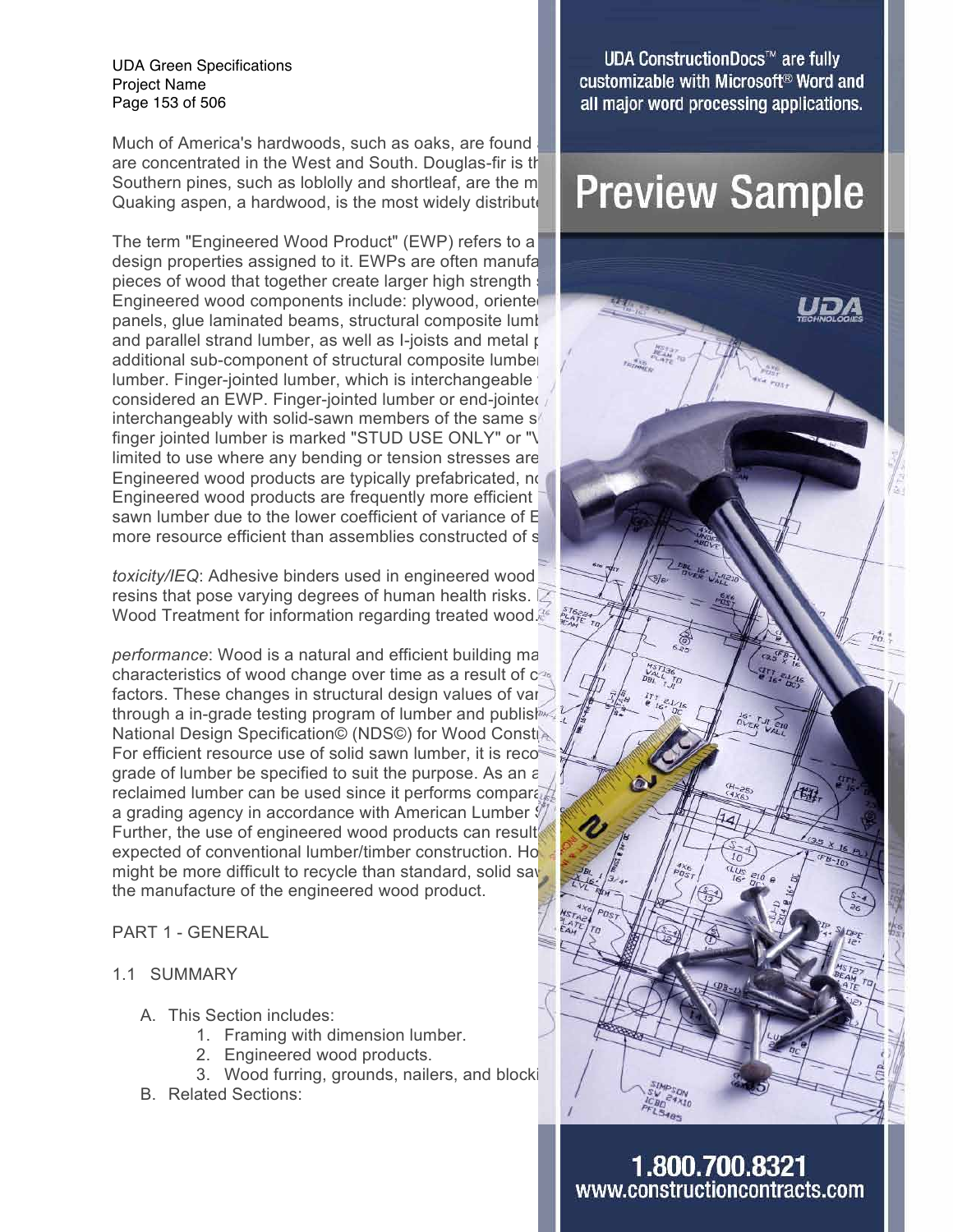UDA Green Specifications Project Name Page 153 of 506

Much of America's hardwoods, such as oaks, are found are concentrated in the West and South. Douglas-fir is the dominant southern pines, such as loblolly and shortleaf, are the most  $\blacksquare$  Preview Sample Southern pines, such as lobiolly and shortleaf, are the  $m$ Quaking aspen, a hardwood, is the most widely distribute

The term "Engineered Wood Product" (EWP) refers to a design properties assigned to it. EWPs are often manufa pieces of wood that together create larger high strength s Engineered wood components include: plywood, oriented panels, glue laminated beams, structural composite lumber and parallel strand lumber, as well as I-joists and metal  $\mu$ additional sub-component of structural composite lumber lumber. Finger-jointed lumber, which is interchangeable considered an EWP. Finger-jointed lumber or end-jointed interchangeably with solid-sawn members of the same  $s/$ finger jointed lumber is marked "STUD USE ONLY" or "V limited to use where any bending or tension stresses are Engineered wood products are typically prefabricated, no Engineered wood products are frequently more efficient sawn lumber due to the lower coefficient of variance of  $E$ more resource efficient than assemblies constructed of s

*toxicity/IEQ*: Adhesive binders used in engineered wood resins that pose varying degrees of human health risks.  $\mathbb Z$ Wood Treatment for information regarding treated wood.<sup>86</sup>

*performance*: Wood is a natural and efficient building material. characteristics of wood change over time as a result of  $c_{\frac{1}{2}}$  in weather and  $c_{\frac{1}{2}}$ factors. These changes in structural design values of various through a in-grade testing program of lumber and published  $\frac{1}{2}$ National Design Specification© (NDS©) for Wood Consti For efficient resource use of solid sawn lumber, it is reco grade of lumber be specified to suit the purpose. As an a reclaimed lumber can be used since it performs comparably  $\frac{1}{2}$  and  $\frac{1}{2}$ a grading agency in accordance with American Lumber  $\oint$ Further, the use of engineered wood products can result expected of conventional lumber/timber construction. However, expected works might be more difficult to recycle than standard, solid say the manufacture of the engineered wood product.

#### PART 1 - GENERAL

#### 1.1 SUMMARY

- A. This Section includes:
	- 1. Framing with dimension lumber.
	- 2. Engineered wood products.
	- 3. Wood furring, grounds, nailers, and blocki
- B. Related Sections:

**UDA ConstructionDocs™ are fully** customizable with Microsoft<sup>®</sup> Word and all major word processing applications.

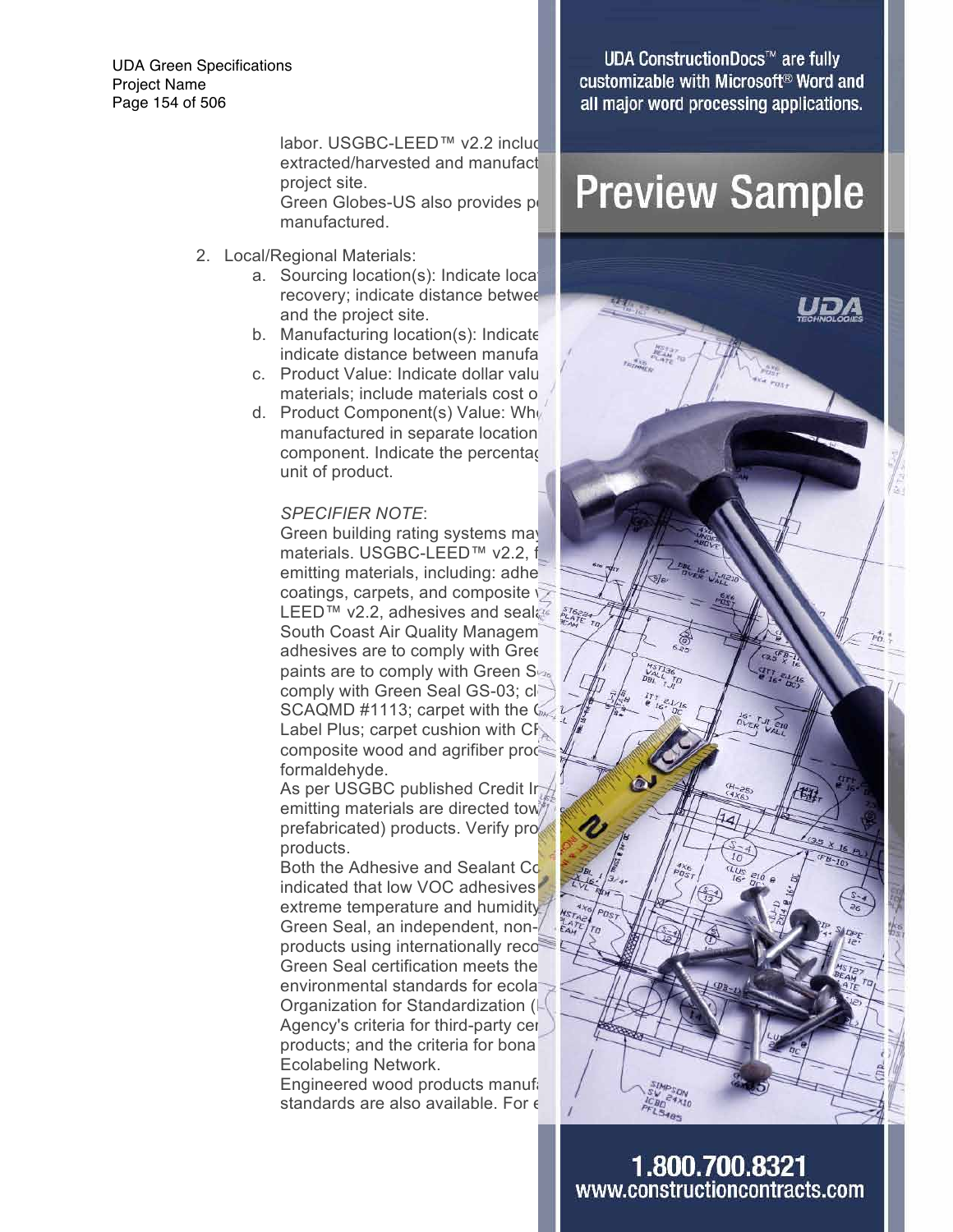UDA Green Specifications Project Name Page 154 of 506

> labor. USGBC-LEED™  $v2.2$  includ extracted/harvested and manufact project site. manufactured.

- 2. Local/Regional Materials:
	- a. Sourcing location(s): Indicate location and the project site.
	- b. Manufacturing location $(s)$ : Indicate indicate distance between manufa
	- c. Product Value: Indicate dollar value materials; include materials cost o
	- d. Product Component(s) Value: When manufactured in separate location component. Indicate the percentage unit of product.

#### *SPECIFIER NOTE*:

Green building rating systems may materials. USGBC-LEED™ v2.2, f emitting materials, including: adhe coatings, carpets, and composite  $\heartsuit$ LEED™ v2.2, adhesives and sealas are South Coast Air Quality Managem adhesives are to comply with Gree paints are to comply with Green  $S_{\nu_{s}}$  /  $\frac{1}{\sqrt{n}}$  /  $\frac{\frac{1}{\nu_{s}}\sum_{i=1}^{N_{s}}\sum_{i=1}^{N_{s}}\sum_{i=1}^{N_{s}}\sum_{i=1}^{N_{s}}\sum_{i=1}^{N_{s}}\sum_{i=1}^{N_{s}}\sum_{i=1}^{N_{s}}\sum_{i=1}^{N_{s}}\sum_{i=1}^{N_{s}}\sum_{i=1}^{N_{s}}\sum_{i=1}^{N_{s}}\sum_{i=1}^{N_{s}}\sum_{i=1$ comply with Green Seal GS-03; clear SCAQMD #1113; carpet with the Care Institute (CRI) Green and Rug Institute (CRI) Green Case of Carpet and Rug Institute (CRI) Green Case of Case of Case of Case of Case of Case of Case of Case of Case of Case of Case of C Label Plus; carpet cushion with  $CF_{\infty}$ composite wood and agrifiber products formaldehyde.

As per USGBC published Credit Interpretations, emitting materials are directed tow prefabricated) products. Verify pro products.

Both the Adhesive and Sealant Co indicated that low VOC adhesives extreme temperature and humidity Green Seal, an independent, nonproducts using internationally reco Green Seal certification meets the environmental standards for ecolal Organization for Standardization (I Agency's criteria for third-party cer products; and the criteria for bona Ecolabeling Network.

Engineered wood products manufactured in accordance with Angles and Answer standards are also available. For  $\epsilon$ 

**UDA ConstructionDocs™ are fully** customizable with Microsoft<sup>®</sup> Word and all major word processing applications.

### project site. Green Globes-US also provides point **Preview Sample**

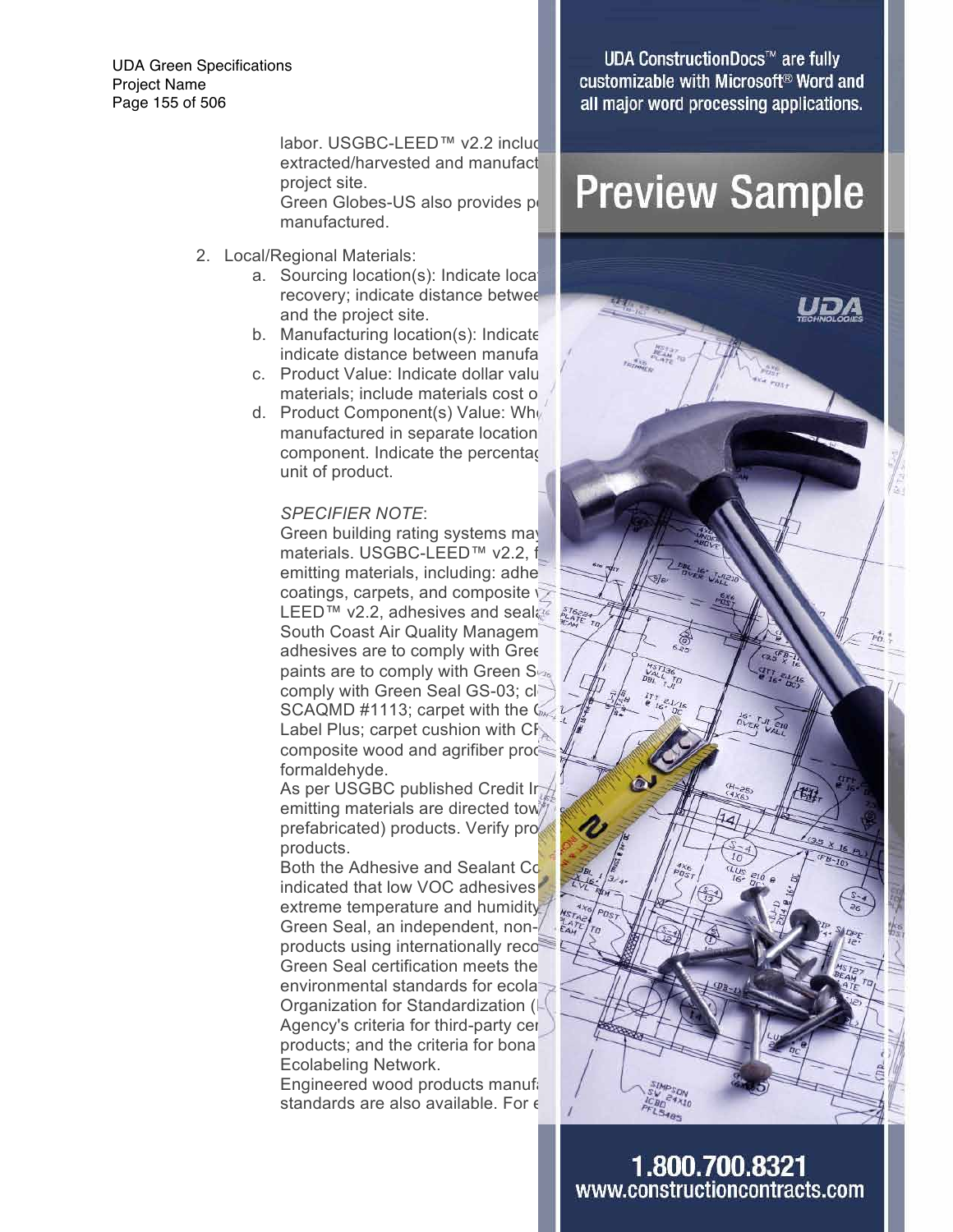UDA Green Specifications Project Name Page 155 of 506

> labor. USGBC-LEED™  $v2.2$  includ extracted/harvested and manufact project site. manufactured.

- 2. Local/Regional Materials:
	- a. Sourcing location(s): Indicate location and the project site.
	- b. Manufacturing location $(s)$ : Indicate indicate distance between manufa
	- c. Product Value: Indicate dollar value materials; include materials cost o
	- d. Product Component(s) Value: When manufactured in separate location component. Indicate the percentage unit of product.

#### *SPECIFIER NOTE*:

Green building rating systems may materials. USGBC-LEED™ v2.2, f emitting materials, including: adhe coatings, carpets, and composite  $\heartsuit$ LEED™ v2.2, adhesives and sealas are South Coast Air Quality Managem adhesives are to comply with Gree paints are to comply with Green  $S_{\nu_{s}}$  /  $\frac{1}{\sqrt{n}}$  /  $\frac{\frac{1}{\nu_{s}}\sum_{i=1}^{N_{s}}\sum_{i=1}^{N_{s}}\sum_{i=1}^{N_{s}}\sum_{i=1}^{N_{s}}\sum_{i=1}^{N_{s}}\sum_{i=1}^{N_{s}}\sum_{i=1}^{N_{s}}\sum_{i=1}^{N_{s}}\sum_{i=1}^{N_{s}}\sum_{i=1}^{N_{s}}\sum_{i=1}^{N_{s}}\sum_{i=1}^{N_{s}}\sum_{i=1$ comply with Green Seal GS-03; clear SCAQMD #1113; carpet with the Care Institute (CRI) Green and Rug Institute (CRI) Green Case of Carpet and Rug Institute (CRI) Green Case of Case of Case of Case of Case of Case of Case of Case of Case of Case of Case of C Label Plus; carpet cushion with  $CF_{\infty}$ composite wood and agrifiber products formaldehyde.

As per USGBC published Credit Interpretations, emitting materials are directed tow prefabricated) products. Verify pro products.

Both the Adhesive and Sealant Co indicated that low VOC adhesives extreme temperature and humidity Green Seal, an independent, nonproducts using internationally reco Green Seal certification meets the environmental standards for ecolal Organization for Standardization (I Agency's criteria for third-party cer products; and the criteria for bona Ecolabeling Network.

Engineered wood products manufactured in accordance with Angles and Answer standards are also available. For  $\epsilon$ 

**UDA ConstructionDocs™ are fully** customizable with Microsoft<sup>®</sup> Word and all major word processing applications.

### project site. Green Globes-US also provides point **Preview Sample**

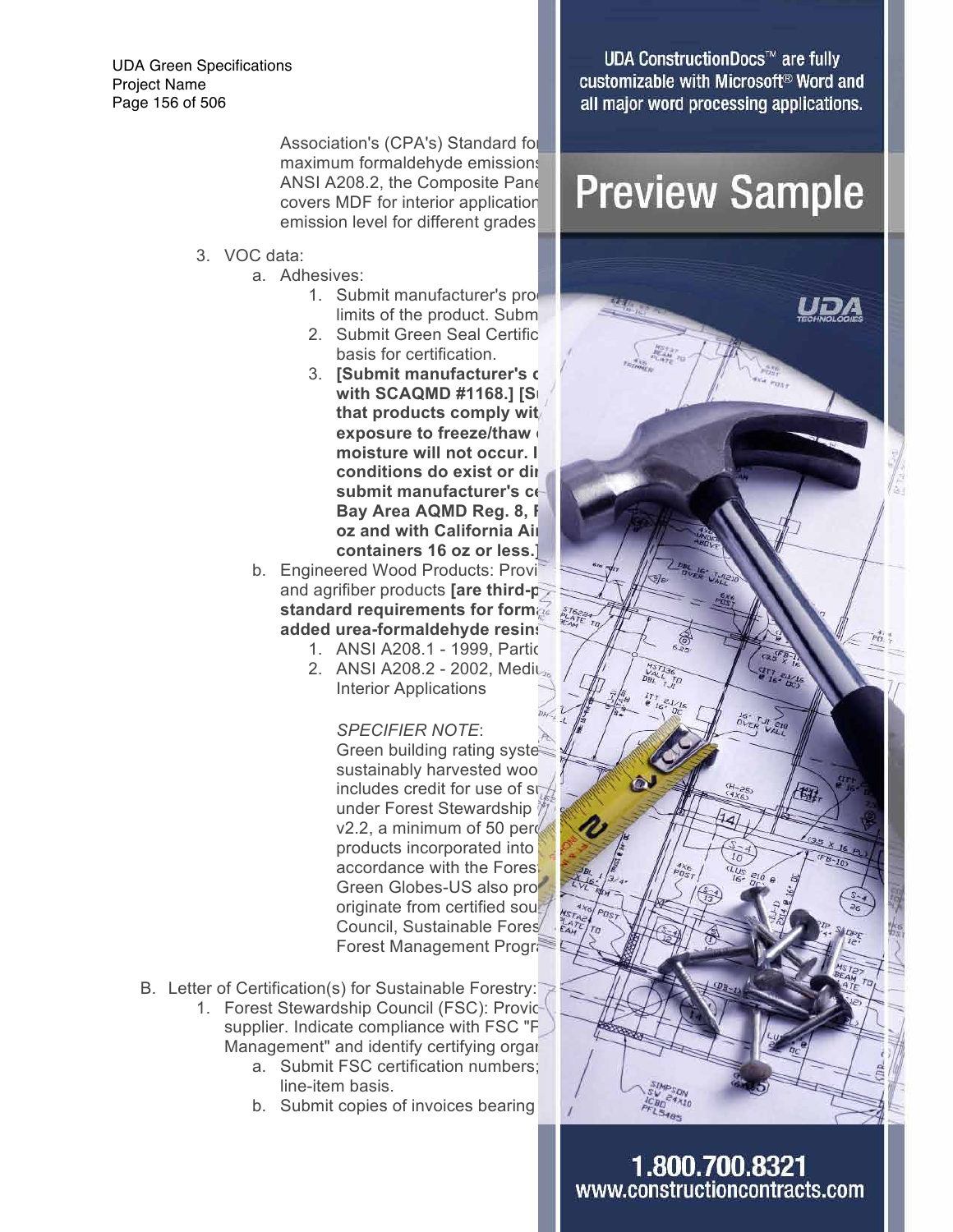UDA Green Specifications Project Name Page 156 of 506

> Association's (CPA's) Standard for maximum formaldehyde emissions ANSI A208.2, the Composite Panel emission level for different grades

- 3. VOC data:
	- a. Adhesives:
		- limits of the product. Subm
		- 2. Submit Green Seal Certific basis for certification.
		- 3. **[Submit manufacturer's complement with SCAQMD #1168.] [SI** that products comply with **exposure to freeze/thaw** moisture will not occur. I conditions do exist or dir submit manufacturer's ce **Bay Area AQMD Reg. 8, F oz and with California Air containers 16 oz or less.]**
	- b. Engineered Wood Products: Provi and agrifiber products **[are third-p standard requirements for formal standard requirements for formallel state added urea-formaldehyde resins.]**
		- 1. ANSI A208.1 1999, Partic
		- Interior Applications

*SPECIFIER NOTE*: Green building rating syste sustainably harvested woo under Forest Stewardship  $v2.2$ , a minimum of 50 percent of  $v2.2$ products incorporated into accordance with the Forest Green Globes-US also pro originate from certified sou Council, Sustainable Fores Forest Management Program

- B. Letter of Certification(s) for Sustainable Forestry:
	- 1. Forest Stewardship Council (FSC): Providential supplier. Indicate compliance with FSC "P Management" and identify certifying organization.
		- a. Submit FSC certification numbers; line-item basis.
		- b. Submit copies of invoices bearing

**UDA ConstructionDocs™ are fully** customizable with Microsoft<sup>®</sup> Word and all major word processing applications.

## ANSI A208.2, the Composite Pane | Preview Sample

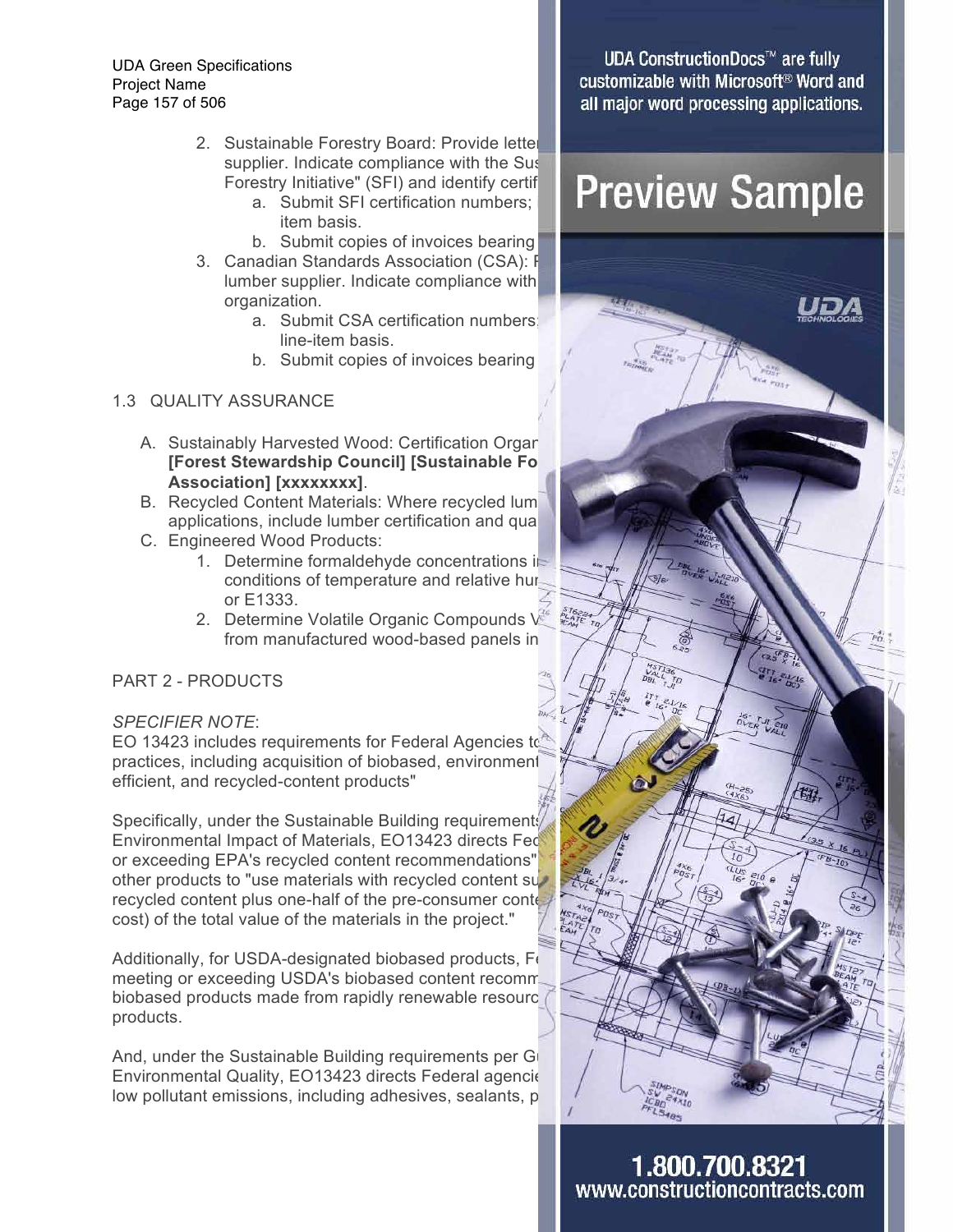UDA Green Specifications Project Name Page 157 of 506

- 2. Sustainable Forestry Board: Provide letter supplier. Indicate compliance with the Sustainable Forestry Initiative" (SFI) and identify certif
	- item basis.
	- b. Submit copies of invoices bearing
- 3. Canadian Standards Association (CSA): F lumber supplier. Indicate compliance with organization.
	- a. Submit CSA certification numbers: line-item basis.
	- b. Submit copies of invoices bearing

### 1.3 QUALITY ASSURANCE

- A. Sustainably Harvested Wood: Certification Organ **[Forest Stewardship Council] [Sustainable Fo Association] [xxxxxxxx]**.
- B. Recycled Content Materials: Where recycled lum applications, include lumber certification and qual
- C. Engineered Wood Products:
	- 1. Determine formaldehyde concentrations in conditions of temperature and relative huror E1333.
	- 2. Determine Volatile Organic Compounds V from manufactured wood-based panels in

#### PART 2 - PRODUCTS

#### *SPECIFIER NOTE*:

practices, including acquisition of biobased, environment efficient, and recycled-content products"

Specifically, under the Sustainable Building requirements Environmental Impact of Materials, EO13423 directs Fed or exceeding EPA's recycled content recommendations" other products to "use materials with recycled content superrecycled content plus one-half of the pre-consumer content constitutes at least 10  $\mu$ cost) of the total value of the materials in the project."

Additionally, for USDA-designated biobased products,  $F_{0}$ meeting or exceeding USDA's biobased content recommendent biobased products made from rapidly renewable resource products.

And, under the Sustainable Building requirements per Grinciple Environmental Quality, EO13423 directs Federal agencie low pollutant emissions, including adhesives, sealants, p

**UDA ConstructionDocs™ are fully** customizable with Microsoft<sup>®</sup> Word and all major word processing applications.

## estry Initiative" (SFI) and identify certif **Preview Sample**

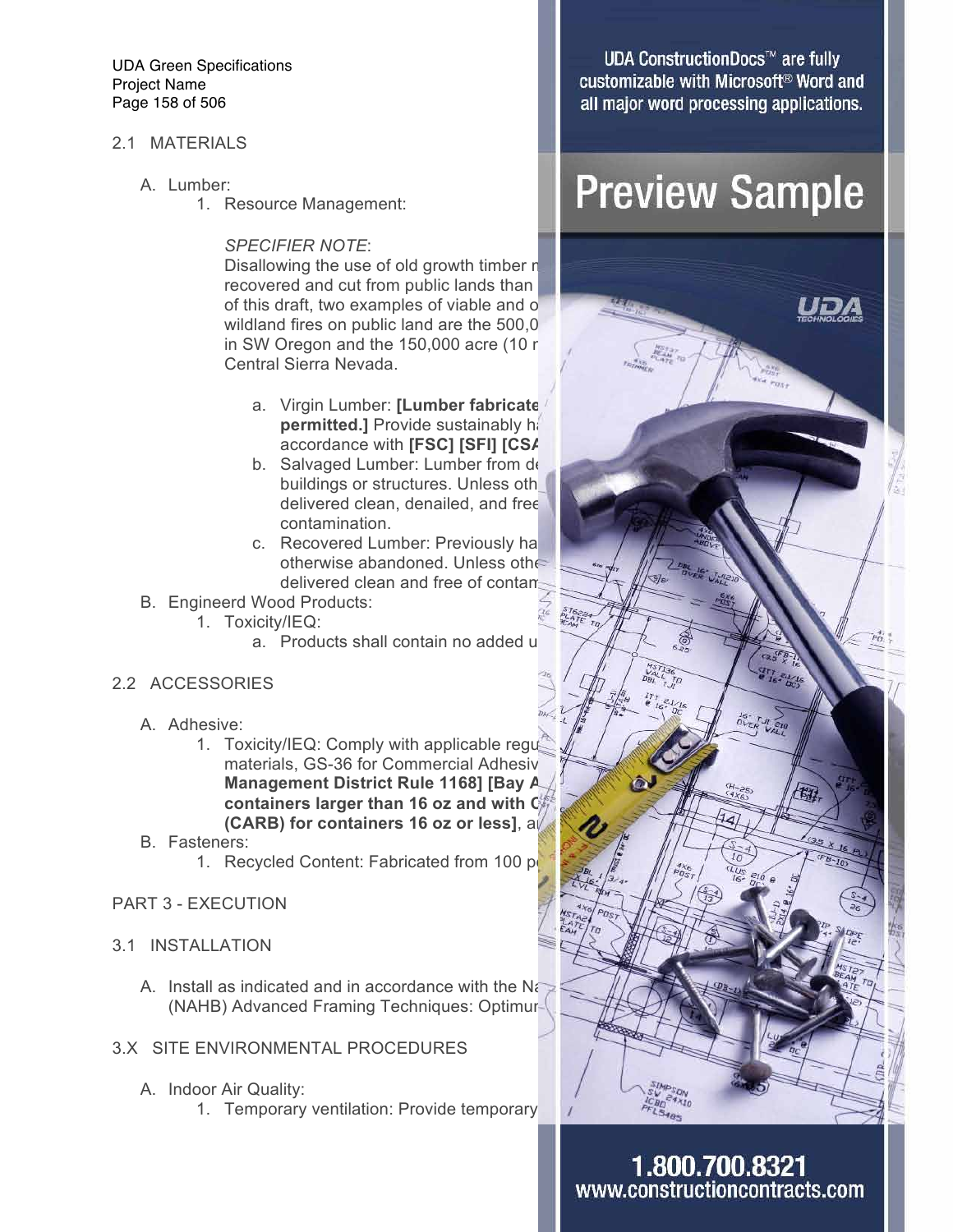UDA Green Specifications Project Name Page 158 of 506

#### 2.1 MATERIALS

- A. Lumber:
	- 1. Resource Management:

#### *SPECIFIER NOTE*:

Disallowing the use of old growth timber  $n$ recovered and cut from public lands than of this draft, two examples of viable and o wildland fires on public land are the  $500,0$ in SW Oregon and the  $150,000$  acre (10 m Central Sierra Nevada.

- a. Virgin Lumber: [Lumber fabricate **permitted.]** Provide sustainably has accordance with **[FSC] [SFI] [CSA**
- b. Salvaged Lumber: Lumber from de buildings or structures. Unless otherwise delivered clean, denailed, and free contamination.
- c. Recovered Lumber: Previously ha otherwise abandoned. Unless otherwise delivered clean and free of contaming
- B. Engineerd Wood Products:
	- 1. Toxicity/IEQ:
		- a. Products shall contain no added u
- 2.2 ACCESSORIES
	- A. Adhesive:
		- 1. Toxicity/IEQ: Comply with applicable regulations regulations regulations regulations regards materials, GS-36 for Commercial Adhesive **Management District Rule 1168] [Bay A containers larger than 16 oz and with C (CARB) for containers 16 oz or less], and all all all as specified.**
	- B. Fasteners:
		- 1. Recycled Content: Fabricated from 100 port

#### PART 3 - EXECUTION

- 3.1 INSTALLATION
	- A. Install as indicated and in accordance with the National Association  $\mathbb{R}^2$ (NAHB) Advanced Framing Techniques: Optimur-
- 3.X SITE ENVIRONMENTAL PROCEDURES
	- A. Indoor Air Quality:
		- 1. Temporary ventilation: Provide temporary

**UDA ConstructionDocs™ are fully** customizable with Microsoft<sup>®</sup> Word and all major word processing applications.

## **Preview Sample**